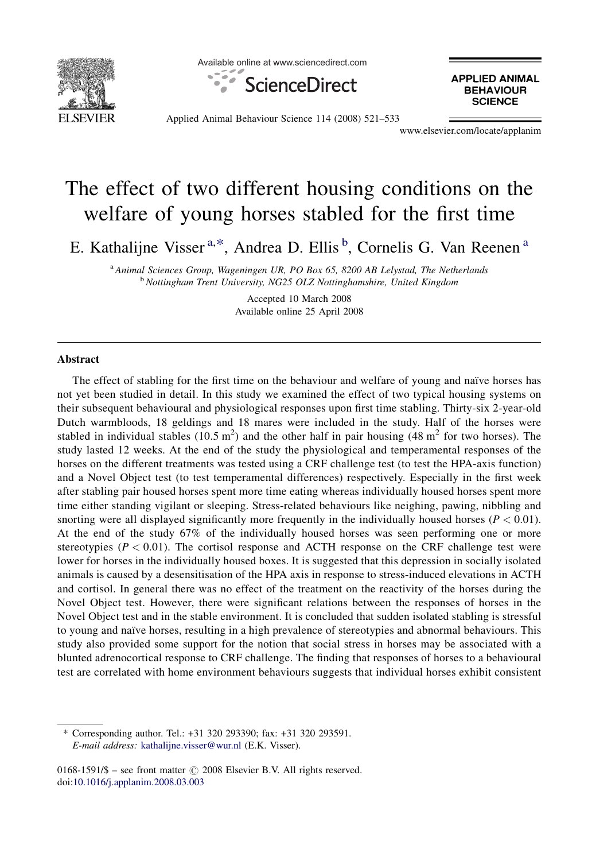

Available online at www.sciencedirect.com



**APPLIED ANIMAL BEHAVIOUR SCIENCE** 

Applied Animal Behaviour Science 114 (2008) 521–533

www.elsevier.com/locate/applanim

# The effect of two different housing conditions on the welfare of young horses stabled for the first time

E. Kathalijne Visser<sup>a,\*</sup>, Andrea D. Ellis<sup>b</sup>, Cornelis G. Van Reenen<sup>a</sup>

 $a<sup>a</sup>$  Animal Sciences Group, Wageningen UR, PO Box 65, 8200 AB Lelystad, The Netherlands <sup>b</sup> Nottingham Trent University, NG25 OLZ Nottinghamshire, United Kingdom

> Accepted 10 March 2008 Available online 25 April 2008

## Abstract

The effect of stabling for the first time on the behaviour and welfare of young and naı̈ve horses has not yet been studied in detail. In this study we examined the effect of two typical housing systems on their subsequent behavioural and physiological responses upon first time stabling. Thirty-six 2-year-old Dutch warmbloods, 18 geldings and 18 mares were included in the study. Half of the horses were stabled in individual stables (10.5 m<sup>2</sup>) and the other half in pair housing (48 m<sup>2</sup> for two horses). The study lasted 12 weeks. At the end of the study the physiological and temperamental responses of the horses on the different treatments was tested using a CRF challenge test (to test the HPA-axis function) and a Novel Object test (to test temperamental differences) respectively. Especially in the first week after stabling pair housed horses spent more time eating whereas individually housed horses spent more time either standing vigilant or sleeping. Stress-related behaviours like neighing, pawing, nibbling and snorting were all displayed significantly more frequently in the individually housed horses ( $P < 0.01$ ). At the end of the study 67% of the individually housed horses was seen performing one or more stereotypies ( $P < 0.01$ ). The cortisol response and ACTH response on the CRF challenge test were lower for horses in the individually housed boxes. It is suggested that this depression in socially isolated animals is caused by a desensitisation of the HPA axis in response to stress-induced elevations in ACTH and cortisol. In general there was no effect of the treatment on the reactivity of the horses during the Novel Object test. However, there were significant relations between the responses of horses in the Novel Object test and in the stable environment. It is concluded that sudden isolated stabling is stressful to young and naïve horses, resulting in a high prevalence of stereotypies and abnormal behaviours. This study also provided some support for the notion that social stress in horses may be associated with a blunted adrenocortical response to CRF challenge. The finding that responses of horses to a behavioural test are correlated with home environment behaviours suggests that individual horses exhibit consistent

Corresponding author. Tel.: +31 320 293390; fax: +31 320 293591. E-mail address: [kathalijne.visser@wur.nl](mailto:kathalijne.visser@wur.nl) (E.K. Visser).

 $0168-1591/\$$  – see front matter  $\odot$  2008 Elsevier B.V. All rights reserved. doi:[10.1016/j.applanim.2008.03.003](http://dx.doi.org/10.1016/j.applanim.2008.03.003)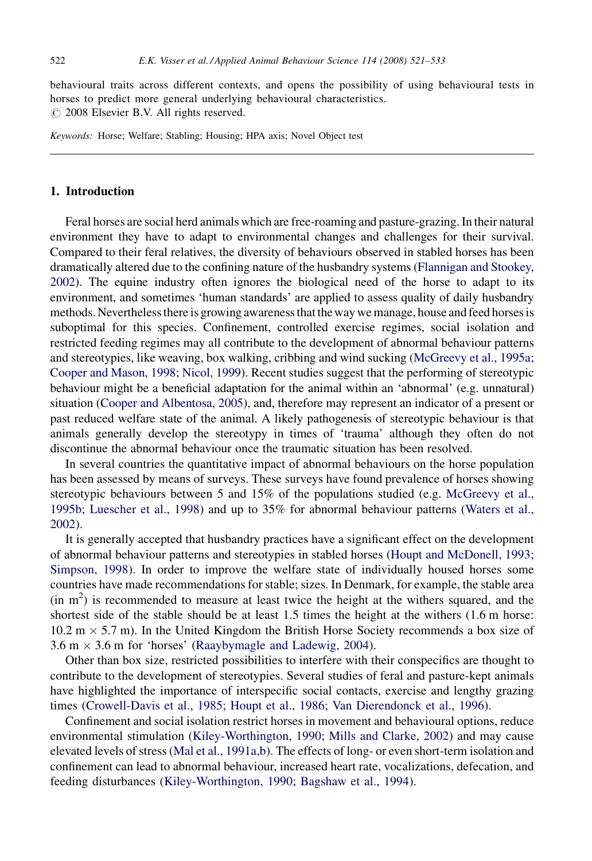behavioural traits across different contexts, and opens the possibility of using behavioural tests in horses to predict more general underlying behavioural characteristics.  $\circ$  2008 Elsevier B.V. All rights reserved.

Keywords: Horse; Welfare; Stabling; Housing; HPA axis; Novel Object test

# 1. Introduction

Feral horses are social herd animals which are free-roaming and pasture-grazing. In their natural environment they have to adapt to environmental changes and challenges for their survival. Compared to their feral relatives, the diversity of behaviours observed in stabled horses has been dramatically altered due to the confining nature of the husbandry systems [\(Flannigan and Stookey,](#page-11-0) [2002](#page-11-0)). The equine industry often ignores the biological need of the horse to adapt to its environment, and sometimes 'human standards' are applied to assess quality of daily husbandry methods. Nevertheless there is growing awareness that the way we manage, house and feed horses is suboptimal for this species. Confinement, controlled exercise regimes, social isolation and restricted feeding regimes may all contribute to the development of abnormal behaviour patterns and stereotypies, like weaving, box walking, cribbing and wind sucking [\(McGreevy et al., 1995a;](#page-11-0) [Cooper and Mason, 1998; Nicol, 1999\)](#page-11-0). Recent studies suggest that the performing of stereotypic behaviour might be a beneficial adaptation for the animal within an 'abnormal' (e.g. unnatural) situation [\(Cooper and Albentosa, 2005](#page-11-0)), and, therefore may represent an indicator of a present or past reduced welfare state of the animal. A likely pathogenesis of stereotypic behaviour is that animals generally develop the stereotypy in times of 'trauma' although they often do not discontinue the abnormal behaviour once the traumatic situation has been resolved.

In several countries the quantitative impact of abnormal behaviours on the horse population has been assessed by means of surveys. These surveys have found prevalence of horses showing stereotypic behaviours between 5 and 15% of the populations studied (e.g. [McGreevy et al.,](#page-12-0) [1995b; Luescher et al., 1998\)](#page-12-0) and up to 35% for abnormal behaviour patterns ([Waters et al.,](#page-12-0) [2002\)](#page-12-0).

It is generally accepted that husbandry practices have a significant effect on the development of abnormal behaviour patterns and stereotypies in stabled horses ([Houpt and McDonell, 1993;](#page-11-0) [Simpson, 1998](#page-11-0)). In order to improve the welfare state of individually housed horses some countries have made recommendations for stable; sizes. In Denmark, for example, the stable area  $(in m<sup>2</sup>)$  is recommended to measure at least twice the height at the withers squared, and the shortest side of the stable should be at least 1.5 times the height at the withers (1.6 m horse:  $10.2 \text{ m} \times 5.7 \text{ m}$ ). In the United Kingdom the British Horse Society recommends a box size of  $3.6 \text{ m} \times 3.6 \text{ m}$  for 'horses' ([Raaybymagle and Ladewig, 2004\)](#page-12-0).

Other than box size, restricted possibilities to interfere with their conspecifics are thought to contribute to the development of stereotypies. Several studies of feral and pasture-kept animals have highlighted the importance of interspecific social contacts, exercise and lengthy grazing times [\(Crowell-Davis et al., 1985; Houpt et al., 1986; Van Dierendonck et al., 1996\)](#page-11-0).

Confinement and social isolation restrict horses in movement and behavioural options, reduce environmental stimulation [\(Kiley-Worthington, 1990; Mills and Clarke, 2002\)](#page-11-0) and may cause elevated levels of stress [\(Mal et al., 1991a,b](#page-11-0)). The effects of long- or even short-term isolation and confinement can lead to abnormal behaviour, increased heart rate, vocalizations, defecation, and feeding disturbances ([Kiley-Worthington, 1990; Bagshaw et al., 1994](#page-11-0)).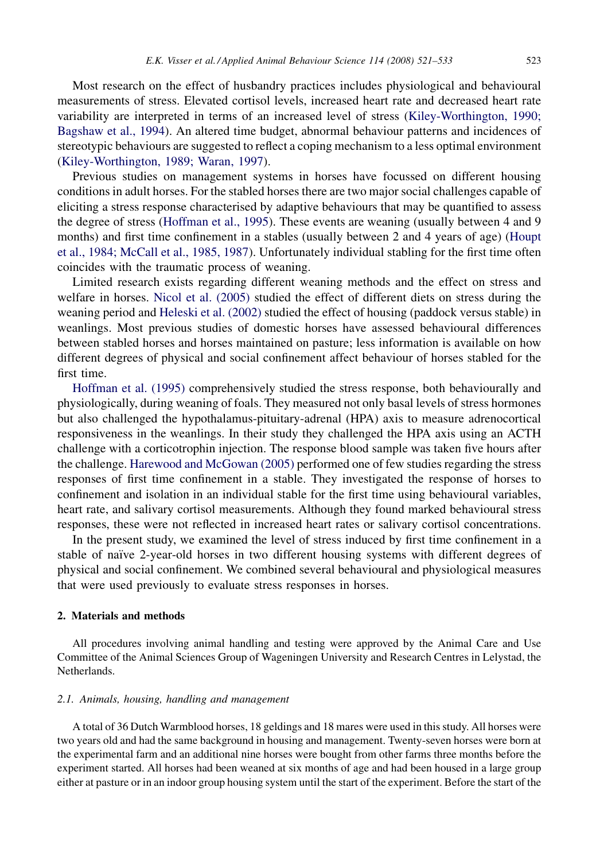Most research on the effect of husbandry practices includes physiological and behavioural measurements of stress. Elevated cortisol levels, increased heart rate and decreased heart rate variability are interpreted in terms of an increased level of stress ([Kiley-Worthington, 1990;](#page-11-0) [Bagshaw et al., 1994](#page-11-0)). An altered time budget, abnormal behaviour patterns and incidences of stereotypic behaviours are suggested to reflect a coping mechanism to a less optimal environment ([Kiley-Worthington, 1989; Waran, 1997](#page-11-0)).

Previous studies on management systems in horses have focussed on different housing conditions in adult horses. For the stabled horses there are two major social challenges capable of eliciting a stress response characterised by adaptive behaviours that may be quantified to assess the degree of stress ([Hoffman et al., 1995](#page-11-0)). These events are weaning (usually between 4 and 9 months) and first time confinement in a stables (usually between 2 and 4 years of age) ([Houpt](#page-11-0) [et al., 1984; McCall et al., 1985, 1987\)](#page-11-0). Unfortunately individual stabling for the first time often coincides with the traumatic process of weaning.

Limited research exists regarding different weaning methods and the effect on stress and welfare in horses. [Nicol et al. \(2005\)](#page-12-0) studied the effect of different diets on stress during the weaning period and [Heleski et al. \(2002\)](#page-11-0) studied the effect of housing (paddock versus stable) in weanlings. Most previous studies of domestic horses have assessed behavioural differences between stabled horses and horses maintained on pasture; less information is available on how different degrees of physical and social confinement affect behaviour of horses stabled for the first time.

[Hoffman et al. \(1995\)](#page-11-0) comprehensively studied the stress response, both behaviourally and physiologically, during weaning of foals. They measured not only basal levels of stress hormones but also challenged the hypothalamus-pituitary-adrenal (HPA) axis to measure adrenocortical responsiveness in the weanlings. In their study they challenged the HPA axis using an ACTH challenge with a corticotrophin injection. The response blood sample was taken five hours after the challenge. [Harewood and McGowan \(2005\)](#page-11-0) performed one of few studies regarding the stress responses of first time confinement in a stable. They investigated the response of horses to confinement and isolation in an individual stable for the first time using behavioural variables, heart rate, and salivary cortisol measurements. Although they found marked behavioural stress responses, these were not reflected in increased heart rates or salivary cortisol concentrations.

In the present study, we examined the level of stress induced by first time confinement in a stable of naïve 2-year-old horses in two different housing systems with different degrees of physical and social confinement. We combined several behavioural and physiological measures that were used previously to evaluate stress responses in horses.

# 2. Materials and methods

All procedures involving animal handling and testing were approved by the Animal Care and Use Committee of the Animal Sciences Group of Wageningen University and Research Centres in Lelystad, the Netherlands.

#### 2.1. Animals, housing, handling and management

A total of 36 Dutch Warmblood horses, 18 geldings and 18 mares were used in this study. All horses were two years old and had the same background in housing and management. Twenty-seven horses were born at the experimental farm and an additional nine horses were bought from other farms three months before the experiment started. All horses had been weaned at six months of age and had been housed in a large group either at pasture or in an indoor group housing system until the start of the experiment. Before the start of the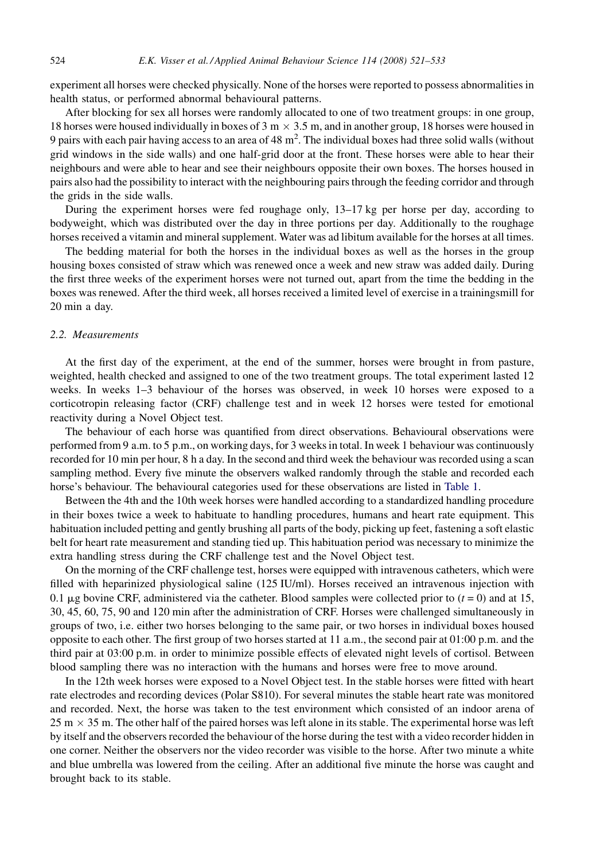experiment all horses were checked physically. None of the horses were reported to possess abnormalities in health status, or performed abnormal behavioural patterns.

After blocking for sex all horses were randomly allocated to one of two treatment groups: in one group, 18 horses were housed individually in boxes of 3 m  $\times$  3.5 m, and in another group, 18 horses were housed in 9 pairs with each pair having access to an area of 48  $m^2$ . The individual boxes had three solid walls (without grid windows in the side walls) and one half-grid door at the front. These horses were able to hear their neighbours and were able to hear and see their neighbours opposite their own boxes. The horses housed in pairs also had the possibility to interact with the neighbouring pairs through the feeding corridor and through the grids in the side walls.

During the experiment horses were fed roughage only, 13–17 kg per horse per day, according to bodyweight, which was distributed over the day in three portions per day. Additionally to the roughage horses received a vitamin and mineral supplement. Water was ad libitum available for the horses at all times.

The bedding material for both the horses in the individual boxes as well as the horses in the group housing boxes consisted of straw which was renewed once a week and new straw was added daily. During the first three weeks of the experiment horses were not turned out, apart from the time the bedding in the boxes was renewed. After the third week, all horses received a limited level of exercise in a trainingsmill for 20 min a day.

#### 2.2. Measurements

At the first day of the experiment, at the end of the summer, horses were brought in from pasture, weighted, health checked and assigned to one of the two treatment groups. The total experiment lasted 12 weeks. In weeks 1–3 behaviour of the horses was observed, in week 10 horses were exposed to a corticotropin releasing factor (CRF) challenge test and in week 12 horses were tested for emotional reactivity during a Novel Object test.

The behaviour of each horse was quantified from direct observations. Behavioural observations were performed from 9 a.m. to 5 p.m., on working days, for 3 weeks in total. In week 1 behaviour was continuously recorded for 10 min per hour, 8 h a day. In the second and third week the behaviour was recorded using a scan sampling method. Every five minute the observers walked randomly through the stable and recorded each horse's behaviour. The behavioural categories used for these observations are listed in [Table 1](#page-4-0).

Between the 4th and the 10th week horses were handled according to a standardized handling procedure in their boxes twice a week to habituate to handling procedures, humans and heart rate equipment. This habituation included petting and gently brushing all parts of the body, picking up feet, fastening a soft elastic belt for heart rate measurement and standing tied up. This habituation period was necessary to minimize the extra handling stress during the CRF challenge test and the Novel Object test.

On the morning of the CRF challenge test, horses were equipped with intravenous catheters, which were filled with heparinized physiological saline (125 IU/ml). Horses received an intravenous injection with 0.1 µg bovine CRF, administered via the catheter. Blood samples were collected prior to  $(t = 0)$  and at 15, 30, 45, 60, 75, 90 and 120 min after the administration of CRF. Horses were challenged simultaneously in groups of two, i.e. either two horses belonging to the same pair, or two horses in individual boxes housed opposite to each other. The first group of two horses started at 11 a.m., the second pair at 01:00 p.m. and the third pair at 03:00 p.m. in order to minimize possible effects of elevated night levels of cortisol. Between blood sampling there was no interaction with the humans and horses were free to move around.

In the 12th week horses were exposed to a Novel Object test. In the stable horses were fitted with heart rate electrodes and recording devices (Polar S810). For several minutes the stable heart rate was monitored and recorded. Next, the horse was taken to the test environment which consisted of an indoor arena of  $25 \text{ m} \times 35 \text{ m}$ . The other half of the paired horses was left alone in its stable. The experimental horse was left by itself and the observers recorded the behaviour of the horse during the test with a video recorder hidden in one corner. Neither the observers nor the video recorder was visible to the horse. After two minute a white and blue umbrella was lowered from the ceiling. After an additional five minute the horse was caught and brought back to its stable.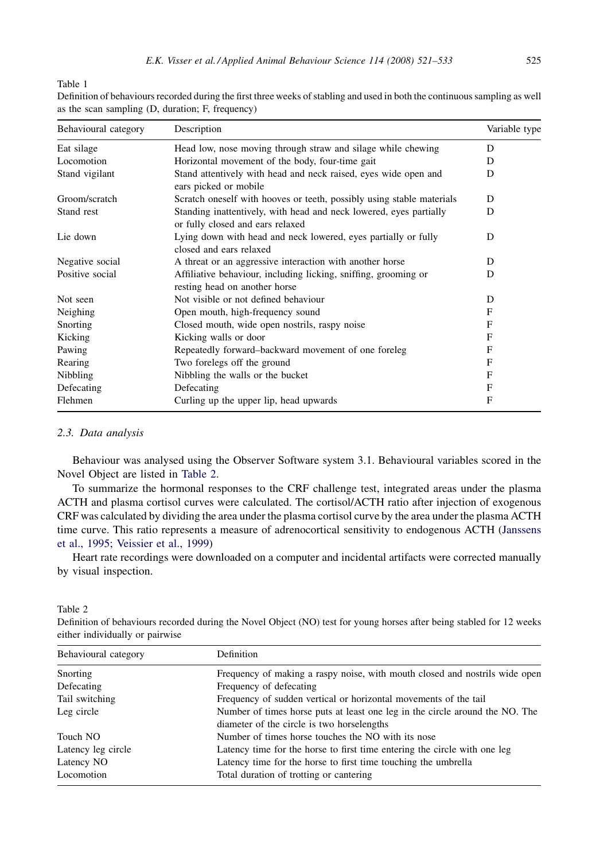<span id="page-4-0"></span>Table 1

| Behavioural category | Description                                                                                            | Variable type |
|----------------------|--------------------------------------------------------------------------------------------------------|---------------|
| Eat silage           | Head low, nose moving through straw and silage while chewing                                           | D             |
| Locomotion           | Horizontal movement of the body, four-time gait                                                        | D             |
| Stand vigilant       | Stand attentively with head and neck raised, eyes wide open and<br>ears picked or mobile               | D             |
| Groom/scratch        | Scratch oneself with hooves or teeth, possibly using stable materials                                  | D             |
| Stand rest           | Standing inattentively, with head and neck lowered, eyes partially<br>or fully closed and ears relaxed | D             |
| Lie down             | Lying down with head and neck lowered, eyes partially or fully<br>closed and ears relaxed              | D             |
| Negative social      | A threat or an aggressive interaction with another horse                                               | D             |
| Positive social      | Affiliative behaviour, including licking, sniffing, grooming or<br>resting head on another horse       | D             |
| Not seen             | Not visible or not defined behaviour                                                                   | D             |
| Neighing             | Open mouth, high-frequency sound                                                                       | F             |
| Snorting             | Closed mouth, wide open nostrils, raspy noise                                                          | F             |
| Kicking              | Kicking walls or door                                                                                  | F             |
| Pawing               | Repeatedly forward–backward movement of one foreleg                                                    | F             |
| Rearing              | Two forelegs off the ground                                                                            | F             |
| Nibbling             | Nibbling the walls or the bucket                                                                       | F             |
| Defecating           | Defecating                                                                                             | F             |
| Flehmen              | Curling up the upper lip, head upwards                                                                 | F             |

Definition of behaviours recorded during the first three weeks of stabling and used in both the continuous sampling as well as the scan sampling (D, duration; F, frequency)

## 2.3. Data analysis

Behaviour was analysed using the Observer Software system 3.1. Behavioural variables scored in the Novel Object are listed in Table 2.

To summarize the hormonal responses to the CRF challenge test, integrated areas under the plasma ACTH and plasma cortisol curves were calculated. The cortisol/ACTH ratio after injection of exogenous CRF was calculated by dividing the area under the plasma cortisol curve by the area under the plasma ACTH time curve. This ratio represents a measure of adrenocortical sensitivity to endogenous ACTH [\(Janssens](#page-11-0) [et al., 1995; Veissier et al., 1999](#page-11-0))

Heart rate recordings were downloaded on a computer and incidental artifacts were corrected manually by visual inspection.

Table 2

Definition of behaviours recorded during the Novel Object (NO) test for young horses after being stabled for 12 weeks either individually or pairwise

| Behavioural category | <b>Definition</b>                                                            |
|----------------------|------------------------------------------------------------------------------|
| Snorting             | Frequency of making a raspy noise, with mouth closed and nostrils wide open  |
| Defecating           | Frequency of defecating                                                      |
| Tail switching       | Frequency of sudden vertical or horizontal movements of the tail             |
| Leg circle           | Number of times horse puts at least one leg in the circle around the NO. The |
|                      | diameter of the circle is two horselengths                                   |
| Touch NO             | Number of times horse touches the NO with its nose                           |
| Latency leg circle   | Latency time for the horse to first time entering the circle with one leg    |
| Latency NO           | Latency time for the horse to first time touching the umbrella               |
| Locomotion           | Total duration of trotting or cantering                                      |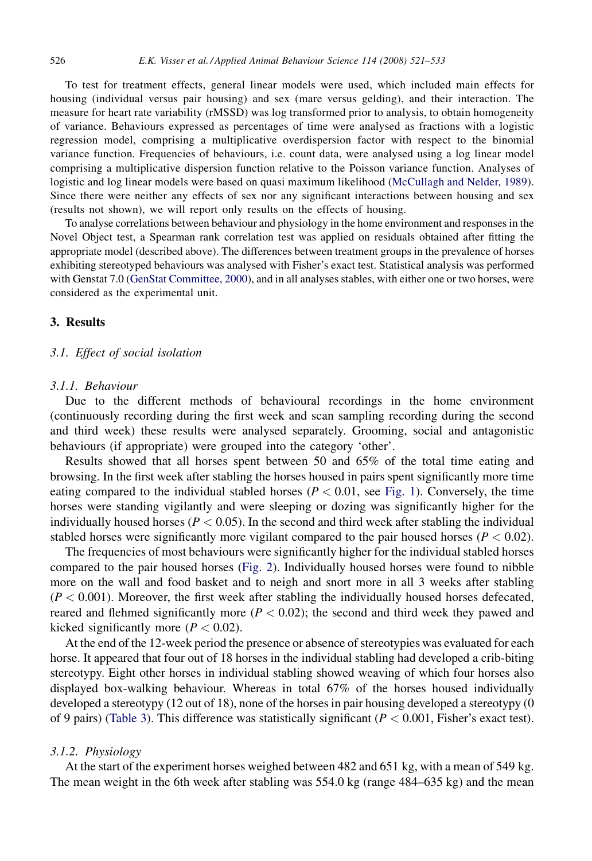To test for treatment effects, general linear models were used, which included main effects for housing (individual versus pair housing) and sex (mare versus gelding), and their interaction. The measure for heart rate variability (rMSSD) was log transformed prior to analysis, to obtain homogeneity of variance. Behaviours expressed as percentages of time were analysed as fractions with a logistic regression model, comprising a multiplicative overdispersion factor with respect to the binomial variance function. Frequencies of behaviours, i.e. count data, were analysed using a log linear model comprising a multiplicative dispersion function relative to the Poisson variance function. Analyses of logistic and log linear models were based on quasi maximum likelihood ([McCullagh and Nelder, 1989\)](#page-11-0). Since there were neither any effects of sex nor any significant interactions between housing and sex (results not shown), we will report only results on the effects of housing.

To analyse correlations between behaviour and physiology in the home environment and responses in the Novel Object test, a Spearman rank correlation test was applied on residuals obtained after fitting the appropriate model (described above). The differences between treatment groups in the prevalence of horses exhibiting stereotyped behaviours was analysed with Fisher's exact test. Statistical analysis was performed with Genstat 7.0 ([GenStat Committee, 2000\)](#page-11-0), and in all analyses stables, with either one or two horses, were considered as the experimental unit.

# 3. Results

## 3.1. Effect of social isolation

## 3.1.1. Behaviour

Due to the different methods of behavioural recordings in the home environment (continuously recording during the first week and scan sampling recording during the second and third week) these results were analysed separately. Grooming, social and antagonistic behaviours (if appropriate) were grouped into the category 'other'.

Results showed that all horses spent between 50 and 65% of the total time eating and browsing. In the first week after stabling the horses housed in pairs spent significantly more time eating compared to the individual stabled horses ( $P < 0.01$ , see [Fig. 1\)](#page-6-0). Conversely, the time horses were standing vigilantly and were sleeping or dozing was significantly higher for the individually housed horses ( $P < 0.05$ ). In the second and third week after stabling the individual stabled horses were significantly more vigilant compared to the pair housed horses ( $P < 0.02$ ).

The frequencies of most behaviours were significantly higher for the individual stabled horses compared to the pair housed horses [\(Fig. 2\)](#page-6-0). Individually housed horses were found to nibble more on the wall and food basket and to neigh and snort more in all 3 weeks after stabling  $(P < 0.001)$ . Moreover, the first week after stabling the individually housed horses defecated, reared and flehmed significantly more  $(P < 0.02)$ ; the second and third week they pawed and kicked significantly more  $(P < 0.02)$ .

At the end of the 12-week period the presence or absence of stereotypies was evaluated for each horse. It appeared that four out of 18 horses in the individual stabling had developed a crib-biting stereotypy. Eight other horses in individual stabling showed weaving of which four horses also displayed box-walking behaviour. Whereas in total 67% of the horses housed individually developed a stereotypy (12 out of 18), none of the horses in pair housing developed a stereotypy (0 of 9 pairs) ([Table 3\)](#page-6-0). This difference was statistically significant ( $P < 0.001$ , Fisher's exact test).

## 3.1.2. Physiology

At the start of the experiment horses weighed between 482 and 651 kg, with a mean of 549 kg. The mean weight in the 6th week after stabling was 554.0 kg (range 484–635 kg) and the mean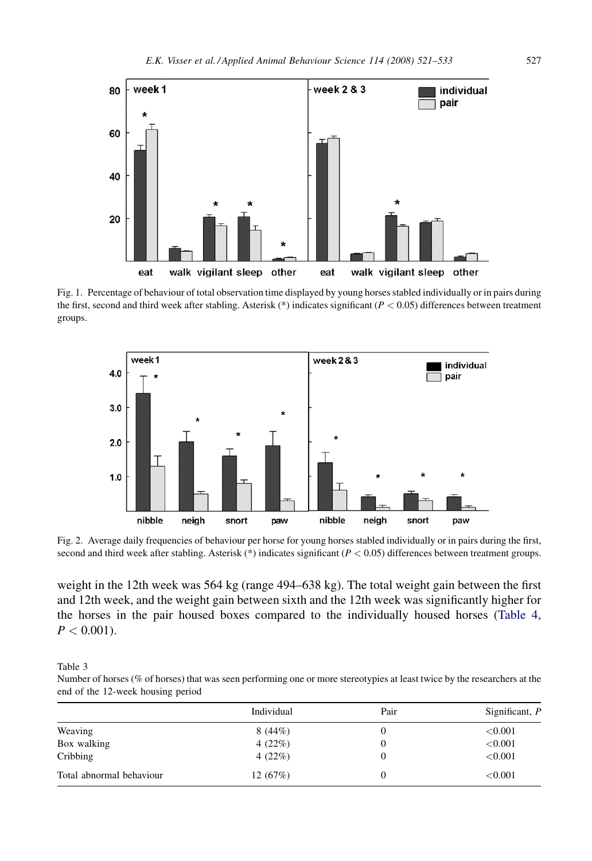<span id="page-6-0"></span>

Fig. 1. Percentage of behaviour of total observation time displayed by young horses stabled individually or in pairs during the first, second and third week after stabling. Asterisk  $(*)$  indicates significant ( $P < 0.05$ ) differences between treatment groups.



Fig. 2. Average daily frequencies of behaviour per horse for young horses stabled individually or in pairs during the first, second and third week after stabling. Asterisk (\*) indicates significant ( $P < 0.05$ ) differences between treatment groups.

weight in the 12th week was 564 kg (range 494–638 kg). The total weight gain between the first and 12th week, and the weight gain between sixth and the 12th week was significantly higher for the horses in the pair housed boxes compared to the individually housed horses ([Table 4](#page-7-0),  $P < 0.001$ ).

Table 3

Number of horses (% of horses) that was seen performing one or more stereotypies at least twice by the researchers at the end of the 12-week housing period

|                          | Individual | Pair     | Significant, P |
|--------------------------|------------|----------|----------------|
| Weaving                  | 8(44%)     | $\theta$ | ${<}0.001$     |
| Box walking              | 4(22%)     | $\theta$ | ${<}0.001$     |
| Cribbing                 | 4(22%)     | $\theta$ | < 0.001        |
| Total abnormal behaviour | 12(67%)    | $\theta$ | ${<}0.001$     |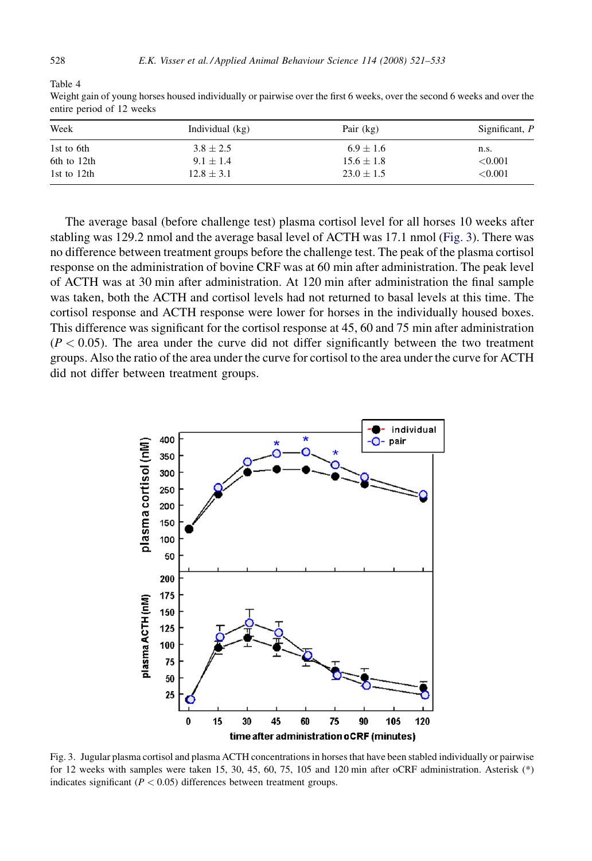| Week        | Individual (kg) | Pair $(kg)$    | Significant, P |
|-------------|-----------------|----------------|----------------|
| 1st to 6th  | $3.8 \pm 2.5$   | $6.9 + 1.6$    | n.s.           |
| 6th to 12th | $9.1 + 1.4$     | $15.6 \pm 1.8$ | ${<}0.001$     |
| 1st to 12th | $12.8 \pm 3.1$  | $23.0 \pm 1.5$ | ${<}0.001$     |

Weight gain of young horses housed individually or pairwise over the first 6 weeks, over the second 6 weeks and over the entire period of 12 weeks

The average basal (before challenge test) plasma cortisol level for all horses 10 weeks after stabling was 129.2 nmol and the average basal level of ACTH was 17.1 nmol (Fig. 3). There was no difference between treatment groups before the challenge test. The peak of the plasma cortisol response on the administration of bovine CRF was at 60 min after administration. The peak level of ACTH was at 30 min after administration. At 120 min after administration the final sample was taken, both the ACTH and cortisol levels had not returned to basal levels at this time. The cortisol response and ACTH response were lower for horses in the individually housed boxes. This difference was significant for the cortisol response at 45, 60 and 75 min after administration  $(P < 0.05)$ . The area under the curve did not differ significantly between the two treatment groups. Also the ratio of the area under the curve for cortisol to the area under the curve for ACTH did not differ between treatment groups.



Fig. 3. Jugular plasma cortisol and plasma ACTH concentrations in horses that have been stabled individually or pairwise for 12 weeks with samples were taken 15, 30, 45, 60, 75, 105 and 120 min after oCRF administration. Asterisk (\*) indicates significant ( $P < 0.05$ ) differences between treatment groups.

<span id="page-7-0"></span>Table 4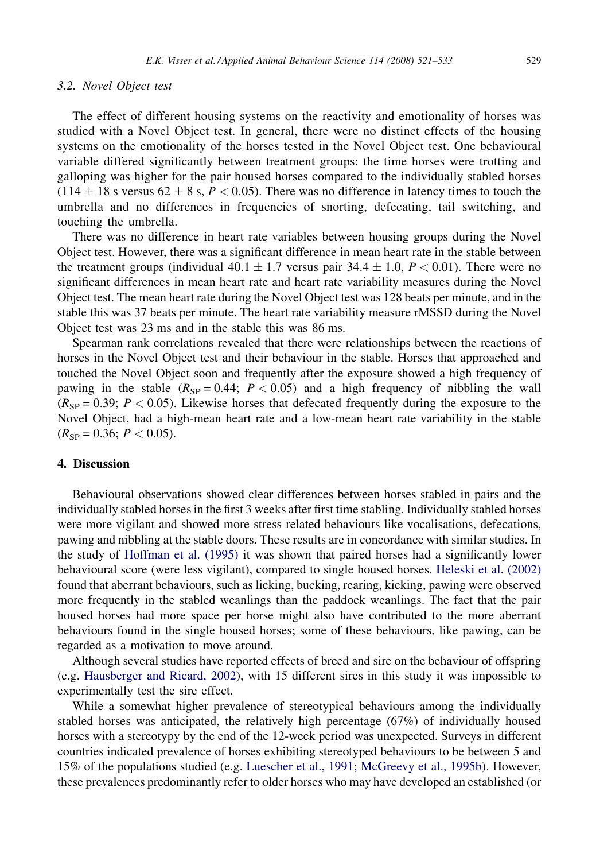## 3.2. Novel Object test

The effect of different housing systems on the reactivity and emotionality of horses was studied with a Novel Object test. In general, there were no distinct effects of the housing systems on the emotionality of the horses tested in the Novel Object test. One behavioural variable differed significantly between treatment groups: the time horses were trotting and galloping was higher for the pair housed horses compared to the individually stabled horses  $(114 \pm 18 \text{ s} \text{ versus } 62 \pm 8 \text{ s}, P < 0.05)$ . There was no difference in latency times to touch the umbrella and no differences in frequencies of snorting, defecating, tail switching, and touching the umbrella.

There was no difference in heart rate variables between housing groups during the Novel Object test. However, there was a significant difference in mean heart rate in the stable between the treatment groups (individual 40.1  $\pm$  1.7 versus pair 34.4  $\pm$  1.0, P < 0.01). There were no significant differences in mean heart rate and heart rate variability measures during the Novel Object test. The mean heart rate during the Novel Object test was 128 beats per minute, and in the stable this was 37 beats per minute. The heart rate variability measure rMSSD during the Novel Object test was 23 ms and in the stable this was 86 ms.

Spearman rank correlations revealed that there were relationships between the reactions of horses in the Novel Object test and their behaviour in the stable. Horses that approached and touched the Novel Object soon and frequently after the exposure showed a high frequency of pawing in the stable  $(R_{SP} = 0.44; P < 0.05)$  and a high frequency of nibbling the wall  $(R_{SP} = 0.39; P < 0.05)$ . Likewise horses that defecated frequently during the exposure to the Novel Object, had a high-mean heart rate and a low-mean heart rate variability in the stable  $(R_{\rm SP} = 0.36; P < 0.05).$ 

#### 4. Discussion

Behavioural observations showed clear differences between horses stabled in pairs and the individually stabled horses in the first 3 weeks after first time stabling. Individually stabled horses were more vigilant and showed more stress related behaviours like vocalisations, defecations, pawing and nibbling at the stable doors. These results are in concordance with similar studies. In the study of [Hoffman et al. \(1995\)](#page-11-0) it was shown that paired horses had a significantly lower behavioural score (were less vigilant), compared to single housed horses. [Heleski et al. \(2002\)](#page-11-0) found that aberrant behaviours, such as licking, bucking, rearing, kicking, pawing were observed more frequently in the stabled weanlings than the paddock weanlings. The fact that the pair housed horses had more space per horse might also have contributed to the more aberrant behaviours found in the single housed horses; some of these behaviours, like pawing, can be regarded as a motivation to move around.

Although several studies have reported effects of breed and sire on the behaviour of offspring (e.g. [Hausberger and Ricard, 2002\)](#page-11-0), with 15 different sires in this study it was impossible to experimentally test the sire effect.

While a somewhat higher prevalence of stereotypical behaviours among the individually stabled horses was anticipated, the relatively high percentage (67%) of individually housed horses with a stereotypy by the end of the 12-week period was unexpected. Surveys in different countries indicated prevalence of horses exhibiting stereotyped behaviours to be between 5 and 15% of the populations studied (e.g. [Luescher et al., 1991; McGreevy et al., 1995b\)](#page-11-0). However, these prevalences predominantly refer to older horses who may have developed an established (or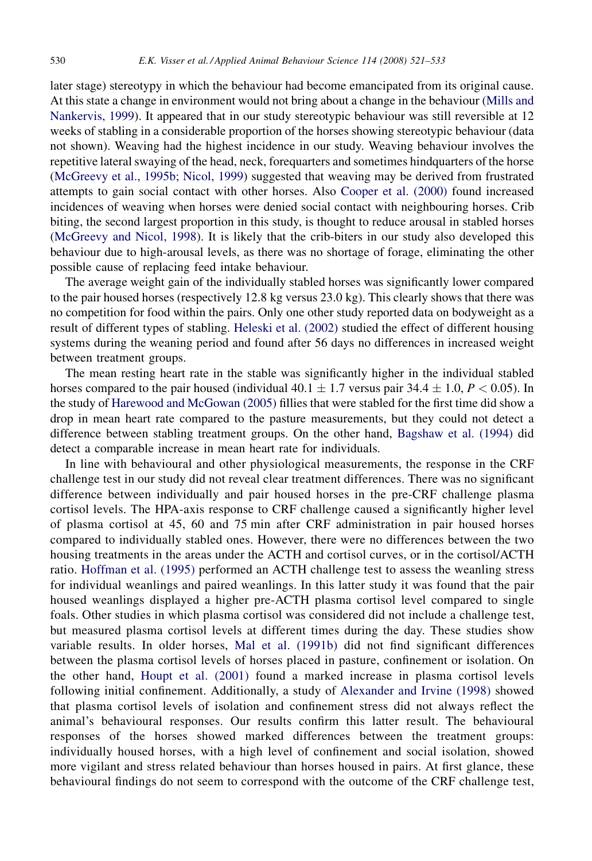later stage) stereotypy in which the behaviour had become emancipated from its original cause. At this state a change in environment would not bring about a change in the behaviour ([Mills and](#page-12-0) [Nankervis, 1999](#page-12-0)). It appeared that in our study stereotypic behaviour was still reversible at 12 weeks of stabling in a considerable proportion of the horses showing stereotypic behaviour (data not shown). Weaving had the highest incidence in our study. Weaving behaviour involves the repetitive lateral swaying of the head, neck, forequarters and sometimes hindquarters of the horse [\(McGreevy et al., 1995b; Nicol, 1999](#page-12-0)) suggested that weaving may be derived from frustrated attempts to gain social contact with other horses. Also [Cooper et al. \(2000\)](#page-11-0) found increased incidences of weaving when horses were denied social contact with neighbouring horses. Crib biting, the second largest proportion in this study, is thought to reduce arousal in stabled horses [\(McGreevy and Nicol, 1998](#page-12-0)). It is likely that the crib-biters in our study also developed this behaviour due to high-arousal levels, as there was no shortage of forage, eliminating the other possible cause of replacing feed intake behaviour.

The average weight gain of the individually stabled horses was significantly lower compared to the pair housed horses (respectively 12.8 kg versus 23.0 kg). This clearly shows that there was no competition for food within the pairs. Only one other study reported data on bodyweight as a result of different types of stabling. [Heleski et al. \(2002\)](#page-11-0) studied the effect of different housing systems during the weaning period and found after 56 days no differences in increased weight between treatment groups.

The mean resting heart rate in the stable was significantly higher in the individual stabled horses compared to the pair housed (individual  $40.1 \pm 1.7$  versus pair  $34.4 \pm 1.0$ ,  $P < 0.05$ ). In the study of [Harewood and McGowan \(2005\)](#page-11-0) fillies that were stabled for the first time did show a drop in mean heart rate compared to the pasture measurements, but they could not detect a difference between stabling treatment groups. On the other hand, [Bagshaw et al. \(1994\)](#page-11-0) did detect a comparable increase in mean heart rate for individuals.

In line with behavioural and other physiological measurements, the response in the CRF challenge test in our study did not reveal clear treatment differences. There was no significant difference between individually and pair housed horses in the pre-CRF challenge plasma cortisol levels. The HPA-axis response to CRF challenge caused a significantly higher level of plasma cortisol at 45, 60 and 75 min after CRF administration in pair housed horses compared to individually stabled ones. However, there were no differences between the two housing treatments in the areas under the ACTH and cortisol curves, or in the cortisol/ACTH ratio. [Hoffman et al. \(1995\)](#page-11-0) performed an ACTH challenge test to assess the weanling stress for individual weanlings and paired weanlings. In this latter study it was found that the pair housed weanlings displayed a higher pre-ACTH plasma cortisol level compared to single foals. Other studies in which plasma cortisol was considered did not include a challenge test, but measured plasma cortisol levels at different times during the day. These studies show variable results. In older horses, [Mal et al. \(1991b\)](#page-11-0) did not find significant differences between the plasma cortisol levels of horses placed in pasture, confinement or isolation. On the other hand, [Houpt et al. \(2001\)](#page-11-0) found a marked increase in plasma cortisol levels following initial confinement. Additionally, a study of [Alexander and Irvine \(1998\)](#page-11-0) showed that plasma cortisol levels of isolation and confinement stress did not always reflect the animal's behavioural responses. Our results confirm this latter result. The behavioural responses of the horses showed marked differences between the treatment groups: individually housed horses, with a high level of confinement and social isolation, showed more vigilant and stress related behaviour than horses housed in pairs. At first glance, these behavioural findings do not seem to correspond with the outcome of the CRF challenge test,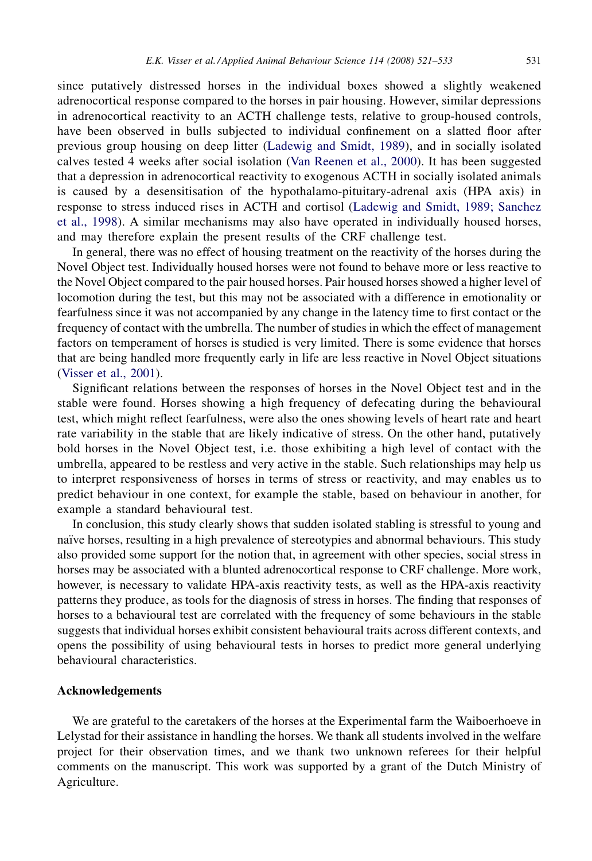since putatively distressed horses in the individual boxes showed a slightly weakened adrenocortical response compared to the horses in pair housing. However, similar depressions in adrenocortical reactivity to an ACTH challenge tests, relative to group-housed controls, have been observed in bulls subjected to individual confinement on a slatted floor after previous group housing on deep litter [\(Ladewig and Smidt, 1989](#page-11-0)), and in socially isolated calves tested 4 weeks after social isolation ([Van Reenen et al., 2000\)](#page-12-0). It has been suggested that a depression in adrenocortical reactivity to exogenous ACTH in socially isolated animals is caused by a desensitisation of the hypothalamo-pituitary-adrenal axis (HPA axis) in response to stress induced rises in ACTH and cortisol [\(Ladewig and Smidt, 1989; Sanchez](#page-11-0) [et al., 1998\)](#page-11-0). A similar mechanisms may also have operated in individually housed horses, and may therefore explain the present results of the CRF challenge test.

In general, there was no effect of housing treatment on the reactivity of the horses during the Novel Object test. Individually housed horses were not found to behave more or less reactive to the Novel Object compared to the pair housed horses. Pair housed horses showed a higher level of locomotion during the test, but this may not be associated with a difference in emotionality or fearfulness since it was not accompanied by any change in the latency time to first contact or the frequency of contact with the umbrella. The number of studies in which the effect of management factors on temperament of horses is studied is very limited. There is some evidence that horses that are being handled more frequently early in life are less reactive in Novel Object situations ([Visser et al., 2001](#page-12-0)).

Significant relations between the responses of horses in the Novel Object test and in the stable were found. Horses showing a high frequency of defecating during the behavioural test, which might reflect fearfulness, were also the ones showing levels of heart rate and heart rate variability in the stable that are likely indicative of stress. On the other hand, putatively bold horses in the Novel Object test, i.e. those exhibiting a high level of contact with the umbrella, appeared to be restless and very active in the stable. Such relationships may help us to interpret responsiveness of horses in terms of stress or reactivity, and may enables us to predict behaviour in one context, for example the stable, based on behaviour in another, for example a standard behavioural test.

In conclusion, this study clearly shows that sudden isolated stabling is stressful to young and naïve horses, resulting in a high prevalence of stereotypies and abnormal behaviours. This study also provided some support for the notion that, in agreement with other species, social stress in horses may be associated with a blunted adrenocortical response to CRF challenge. More work, however, is necessary to validate HPA-axis reactivity tests, as well as the HPA-axis reactivity patterns they produce, as tools for the diagnosis of stress in horses. The finding that responses of horses to a behavioural test are correlated with the frequency of some behaviours in the stable suggests that individual horses exhibit consistent behavioural traits across different contexts, and opens the possibility of using behavioural tests in horses to predict more general underlying behavioural characteristics.

## Acknowledgements

We are grateful to the caretakers of the horses at the Experimental farm the Waiboerhoeve in Lelystad for their assistance in handling the horses. We thank all students involved in the welfare project for their observation times, and we thank two unknown referees for their helpful comments on the manuscript. This work was supported by a grant of the Dutch Ministry of Agriculture.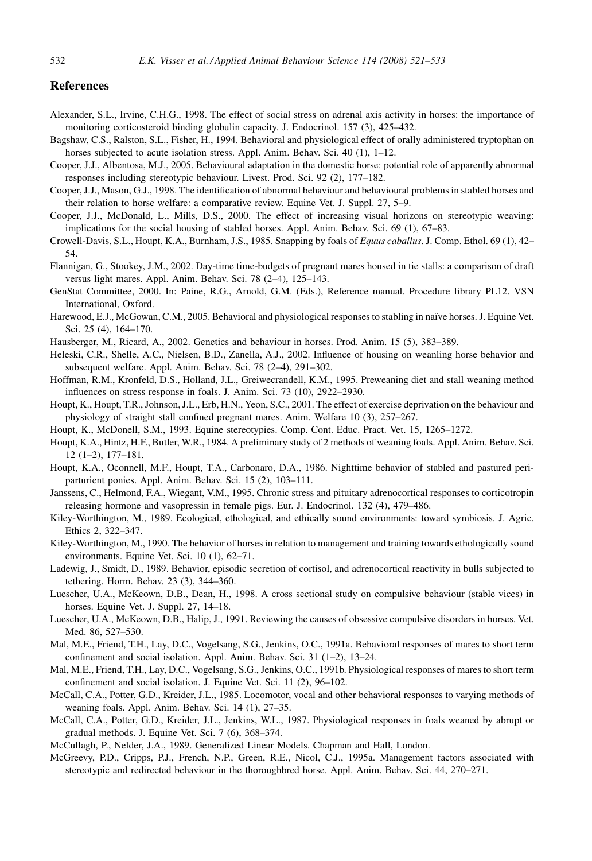## <span id="page-11-0"></span>References

- Alexander, S.L., Irvine, C.H.G., 1998. The effect of social stress on adrenal axis activity in horses: the importance of monitoring corticosteroid binding globulin capacity. J. Endocrinol. 157 (3), 425–432.
- Bagshaw, C.S., Ralston, S.L., Fisher, H., 1994. Behavioral and physiological effect of orally administered tryptophan on horses subjected to acute isolation stress. Appl. Anim. Behav. Sci. 40 (1), 1-12.
- Cooper, J.J., Albentosa, M.J., 2005. Behavioural adaptation in the domestic horse: potential role of apparently abnormal responses including stereotypic behaviour. Livest. Prod. Sci. 92 (2), 177–182.
- Cooper, J.J., Mason, G.J., 1998. The identification of abnormal behaviour and behavioural problems in stabled horses and their relation to horse welfare: a comparative review. Equine Vet. J. Suppl. 27, 5–9.
- Cooper, J.J., McDonald, L., Mills, D.S., 2000. The effect of increasing visual horizons on stereotypic weaving: implications for the social housing of stabled horses. Appl. Anim. Behav. Sci. 69 (1), 67–83.
- Crowell-Davis, S.L., Houpt, K.A., Burnham, J.S., 1985. Snapping by foals of Equus caballus. J. Comp. Ethol. 69 (1), 42– 54.
- Flannigan, G., Stookey, J.M., 2002. Day-time time-budgets of pregnant mares housed in tie stalls: a comparison of draft versus light mares. Appl. Anim. Behav. Sci. 78 (2–4), 125–143.
- GenStat Committee, 2000. In: Paine, R.G., Arnold, G.M. (Eds.), Reference manual. Procedure library PL12. VSN International, Oxford.
- Harewood, E.J., McGowan, C.M., 2005. Behavioral and physiological responses to stabling in naïve horses. J. Equine Vet. Sci. 25 (4), 164–170.
- Hausberger, M., Ricard, A., 2002. Genetics and behaviour in horses. Prod. Anim. 15 (5), 383–389.
- Heleski, C.R., Shelle, A.C., Nielsen, B.D., Zanella, A.J., 2002. Influence of housing on weanling horse behavior and subsequent welfare. Appl. Anim. Behav. Sci. 78 (2–4), 291–302.
- Hoffman, R.M., Kronfeld, D.S., Holland, J.L., Greiwecrandell, K.M., 1995. Preweaning diet and stall weaning method influences on stress response in foals. J. Anim. Sci. 73 (10), 2922–2930.
- Houpt, K., Houpt, T.R., Johnson, J.L., Erb, H.N., Yeon, S.C., 2001. The effect of exercise deprivation on the behaviour and physiology of straight stall confined pregnant mares. Anim. Welfare 10 (3), 257–267.
- Houpt, K., McDonell, S.M., 1993. Equine stereotypies. Comp. Cont. Educ. Pract. Vet. 15, 1265–1272.
- Houpt, K.A., Hintz, H.F., Butler, W.R., 1984. A preliminary study of 2 methods of weaning foals. Appl. Anim. Behav. Sci. 12 (1–2), 177–181.
- Houpt, K.A., Oconnell, M.F., Houpt, T.A., Carbonaro, D.A., 1986. Nighttime behavior of stabled and pastured periparturient ponies. Appl. Anim. Behav. Sci. 15 (2), 103–111.
- Janssens, C., Helmond, F.A., Wiegant, V.M., 1995. Chronic stress and pituitary adrenocortical responses to corticotropin releasing hormone and vasopressin in female pigs. Eur. J. Endocrinol. 132 (4), 479–486.
- Kiley-Worthington, M., 1989. Ecological, ethological, and ethically sound environments: toward symbiosis. J. Agric. Ethics 2, 322–347.
- Kiley-Worthington, M., 1990. The behavior of horses in relation to management and training towards ethologically sound environments. Equine Vet. Sci. 10 (1), 62–71.
- Ladewig, J., Smidt, D., 1989. Behavior, episodic secretion of cortisol, and adrenocortical reactivity in bulls subjected to tethering. Horm. Behav. 23 (3), 344–360.
- Luescher, U.A., McKeown, D.B., Dean, H., 1998. A cross sectional study on compulsive behaviour (stable vices) in horses. Equine Vet. J. Suppl. 27, 14–18.
- Luescher, U.A., McKeown, D.B., Halip, J., 1991. Reviewing the causes of obsessive compulsive disorders in horses. Vet. Med. 86, 527–530.
- Mal, M.E., Friend, T.H., Lay, D.C., Vogelsang, S.G., Jenkins, O.C., 1991a. Behavioral responses of mares to short term confinement and social isolation. Appl. Anim. Behav. Sci. 31 (1–2), 13–24.
- Mal, M.E., Friend, T.H., Lay, D.C., Vogelsang, S.G., Jenkins, O.C., 1991b. Physiological responses of mares to short term confinement and social isolation. J. Equine Vet. Sci. 11 (2), 96–102.
- McCall, C.A., Potter, G.D., Kreider, J.L., 1985. Locomotor, vocal and other behavioral responses to varying methods of weaning foals. Appl. Anim. Behav. Sci. 14 (1), 27–35.
- McCall, C.A., Potter, G.D., Kreider, J.L., Jenkins, W.L., 1987. Physiological responses in foals weaned by abrupt or gradual methods. J. Equine Vet. Sci. 7 (6), 368–374.
- McCullagh, P., Nelder, J.A., 1989. Generalized Linear Models. Chapman and Hall, London.
- McGreevy, P.D., Cripps, P.J., French, N.P., Green, R.E., Nicol, C.J., 1995a. Management factors associated with stereotypic and redirected behaviour in the thoroughbred horse. Appl. Anim. Behav. Sci. 44, 270–271.